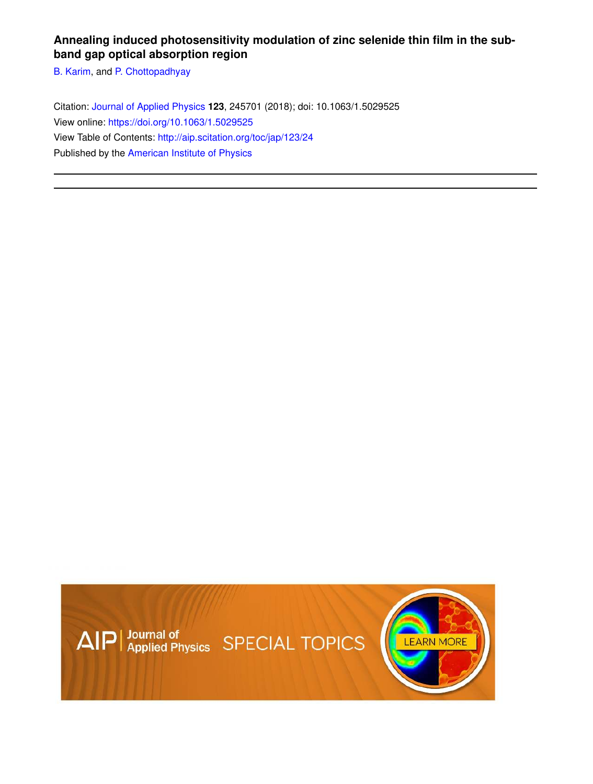## **Annealing induced photosensitivity modulation of zinc selenide thin film in the subband gap optical absorption region**

B. Karim, and P. Chottopadhyay

Citation: Journal of Applied Physics **123**, 245701 (2018); doi: 10.1063/1.5029525 View online: https://doi.org/10.1063/1.5029525 View Table of Contents: http://aip.scitation.org/toc/jap/123/24 Published by the American Institute of Physics

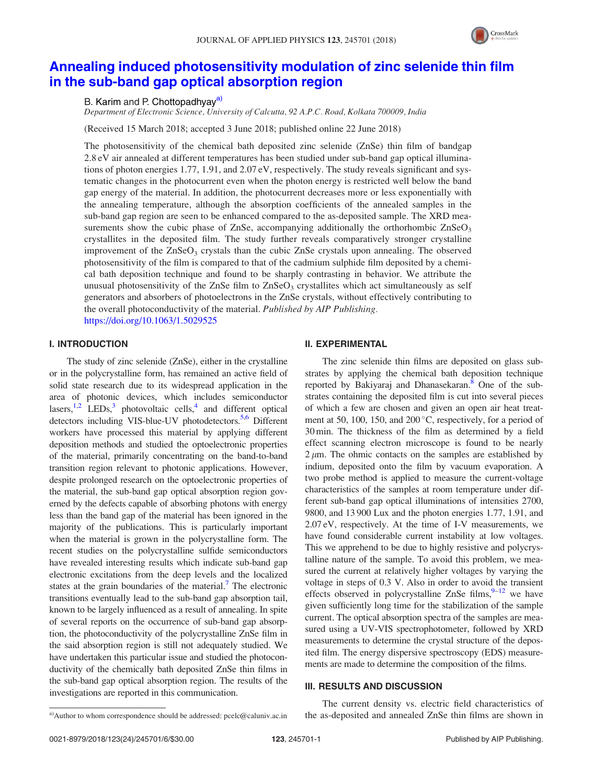

# Annealing induced photosensitivity modulation of zinc selenide thin film in the sub-band gap optical absorption region

## B. Karim and P. Chottopadhyay<sup>a)</sup>

Department of Electronic Science, University of Calcutta, 92 A.P.C. Road, Kolkata 700009, India

(Received 15 March 2018; accepted 3 June 2018; published online 22 June 2018)

The photosensitivity of the chemical bath deposited zinc selenide (ZnSe) thin film of bandgap 2.8 eV air annealed at different temperatures has been studied under sub-band gap optical illuminations of photon energies 1.77, 1.91, and 2.07 eV, respectively. The study reveals significant and systematic changes in the photocurrent even when the photon energy is restricted well below the band gap energy of the material. In addition, the photocurrent decreases more or less exponentially with the annealing temperature, although the absorption coefficients of the annealed samples in the sub-band gap region are seen to be enhanced compared to the as-deposited sample. The XRD measurements show the cubic phase of ZnSe, accompanying additionally the orthorhombic  $ZnSeO<sub>3</sub>$ crystallites in the deposited film. The study further reveals comparatively stronger crystalline improvement of the  $ZnSeO<sub>3</sub>$  crystals than the cubic  $ZnSe$  crystals upon annealing. The observed photosensitivity of the film is compared to that of the cadmium sulphide film deposited by a chemical bath deposition technique and found to be sharply contrasting in behavior. We attribute the unusual photosensitivity of the ZnSe film to  $\text{ZnSeO}_3$  crystallites which act simultaneously as self generators and absorbers of photoelectrons in the ZnSe crystals, without effectively contributing to the overall photoconductivity of the material. Published by AIP Publishing. https://doi.org/10.1063/1.5029525

## I. INTRODUCTION

The study of zinc selenide (ZnSe), either in the crystalline or in the polycrystalline form, has remained an active field of solid state research due to its widespread application in the area of photonic devices, which includes semiconductor lasers,<sup>1,2</sup> LEDs,<sup>3</sup> photovoltaic cells,<sup>4</sup> and different optical detectors including VIS-blue-UV photodetectors.<sup>5,6</sup> Different workers have processed this material by applying different deposition methods and studied the optoelectronic properties of the material, primarily concentrating on the band-to-band transition region relevant to photonic applications. However, despite prolonged research on the optoelectronic properties of the material, the sub-band gap optical absorption region governed by the defects capable of absorbing photons with energy less than the band gap of the material has been ignored in the majority of the publications. This is particularly important when the material is grown in the polycrystalline form. The recent studies on the polycrystalline sulfide semiconductors have revealed interesting results which indicate sub-band gap electronic excitations from the deep levels and the localized states at the grain boundaries of the material.<sup>7</sup> The electronic transitions eventually lead to the sub-band gap absorption tail, known to be largely influenced as a result of annealing. In spite of several reports on the occurrence of sub-band gap absorption, the photoconductivity of the polycrystalline ZnSe film in the said absorption region is still not adequately studied. We have undertaken this particular issue and studied the photoconductivity of the chemically bath deposited ZnSe thin films in the sub-band gap optical absorption region. The results of the investigations are reported in this communication.

#### II. EXPERIMENTAL

The zinc selenide thin films are deposited on glass substrates by applying the chemical bath deposition technique reported by Bakiyaraj and Dhanasekaran.<sup>8</sup> One of the substrates containing the deposited film is cut into several pieces of which a few are chosen and given an open air heat treatment at 50, 100, 150, and 200 °C, respectively, for a period of 30 min. The thickness of the film as determined by a field effect scanning electron microscope is found to be nearly  $2 \mu$ m. The ohmic contacts on the samples are established by indium, deposited onto the film by vacuum evaporation. A two probe method is applied to measure the current-voltage characteristics of the samples at room temperature under different sub-band gap optical illuminations of intensities 2700, 9800, and 13 900 Lux and the photon energies 1.77, 1.91, and 2.07 eV, respectively. At the time of I-V measurements, we have found considerable current instability at low voltages. This we apprehend to be due to highly resistive and polycrystalline nature of the sample. To avoid this problem, we measured the current at relatively higher voltages by varying the voltage in steps of 0.3 V. Also in order to avoid the transient effects observed in polycrystalline ZnSe films,  $9-12$  we have given sufficiently long time for the stabilization of the sample current. The optical absorption spectra of the samples are measured using a UV-VIS spectrophotometer, followed by XRD measurements to determine the crystal structure of the deposited film. The energy dispersive spectroscopy (EDS) measurements are made to determine the composition of the films.

### III. RESULTS AND DISCUSSION

The current density vs. electric field characteristics of a)Author to whom correspondence should be addressed: pcelc@caluniv.ac.in the as-deposited and annealed ZnSe thin films are shown in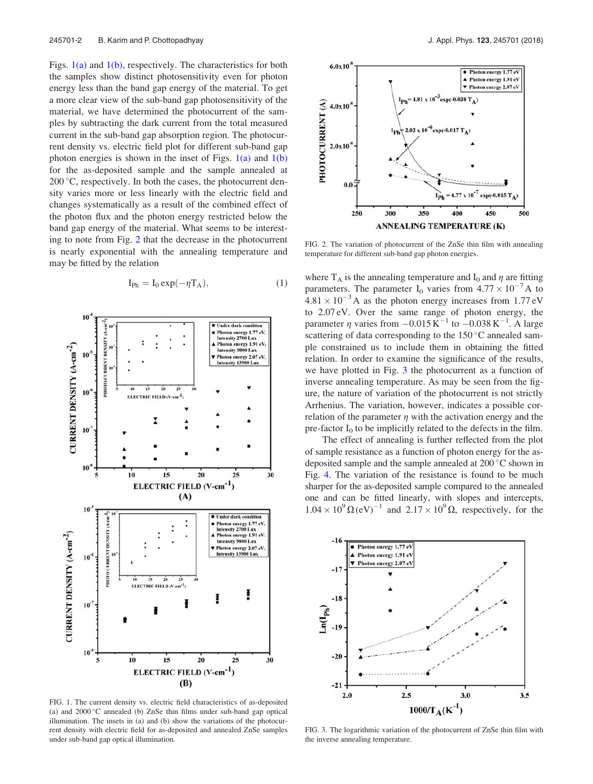Figs.  $1(a)$  and  $1(b)$ , respectively. The characteristics for both the samples show distinct photosensitivity even for photon energy less than the band gap energy of the material. To get a more clear view of the sub-band gap photosensitivity of the material, we have determined the photocurrent of the samples by subtracting the dark current from the total measured current in the sub-band gap absorption region. The photocurrent density vs. electric field plot for different sub-band gap photon energies is shown in the inset of Figs.  $1(a)$  and  $1(b)$ for the as-deposited sample and the sample annealed at 200 °C, respectively. In both the cases, the photocurrent density varies more or less linearly with the electric field and changes systematically as a result of the combined effect of the photon flux and the photon energy restricted below the band gap energy of the material. What seems to be interesting to note from Fig. 2 that the decrease in the photocurrent is nearly exponential with the annealing temperature and may be fitted by the relation

$$
I_{Ph} = I_0 \exp(-\eta T_A), \qquad (1)
$$



FIG. 1. The current density vs. electric field characteristics of as-deposited (a) and  $2000\degree$ C annealed (b) ZnSe thin films under sub-band gap optical illumination. The insets in (a) and (b) show the variations of the photocurrent density with electric field for as-deposited and annealed ZnSe samples under sub-band gap optical illumination.



FIG. 2. The variation of photocurrent of the ZnSe thin film with annealing temperature for different sub-band gap photon energies.

where  $T_A$  is the annealing temperature and  $I_0$  and  $\eta$  are fitting parameters. The parameter I<sub>0</sub> varies from  $4.77 \times 10^{-7}$ A to  $4.81 \times 10^{-3}$  A as the photon energy increases from 1.77 eV to 2.07 eV. Over the same range of photon energy, the parameter  $\eta$  varies from  $-0.015 \text{ K}^{-1}$  to  $-0.038 \text{ K}^{-1}$ . A large scattering of data corresponding to the  $150^{\circ}$ C annealed sample constrained us to include them in obtaining the fitted relation. In order to examine the significance of the results, we have plotted in Fig. 3 the photocurrent as a function of inverse annealing temperature. As may be seen from the figure, the nature of variation of the photocurrent is not strictly Arrhenius. The variation, however, indicates a possible correlation of the parameter  $\eta$  with the activation energy and the pre-factor  $I_0$  to be implicitly related to the defects in the film.

The effect of annealing is further reflected from the plot of sample resistance as a function of photon energy for the asdeposited sample and the sample annealed at 200 °C shown in Fig. 4. The variation of the resistance is found to be much sharper for the as-deposited sample compared to the annealed one and can be fitted linearly, with slopes and intercepts,  $1.04 \times 10^{9} \Omega \text{ (eV)}^{-1}$  and  $2.17 \times 10^{9} \Omega$ , respectively, for the



FIG. 3. The logarithmic variation of the photocurrent of ZnSe thin film with the inverse annealing temperature.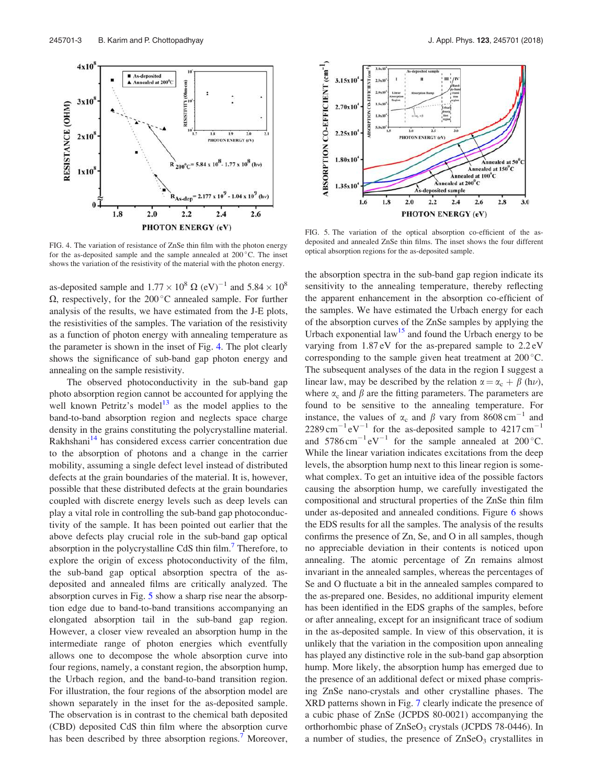

FIG. 4. The variation of resistance of ZnSe thin film with the photon energy for the as-deposited sample and the sample annealed at  $200^{\circ}$ C. The inset shows the variation of the resistivity of the material with the photon energy.

as-deposited sample and  $1.77 \times 10^8 \Omega$  (eV)<sup>-1</sup> and  $5.84 \times 10^8$  $\Omega$ , respectively, for the 200 °C annealed sample. For further analysis of the results, we have estimated from the J-E plots, the resistivities of the samples. The variation of the resistivity as a function of photon energy with annealing temperature as the parameter is shown in the inset of Fig. 4. The plot clearly shows the significance of sub-band gap photon energy and annealing on the sample resistivity.

The observed photoconductivity in the sub-band gap photo absorption region cannot be accounted for applying the well known Petritz's model<sup>13</sup> as the model applies to the band-to-band absorption region and neglects space charge density in the grains constituting the polycrystalline material. Rakhshani<sup>14</sup> has considered excess carrier concentration due to the absorption of photons and a change in the carrier mobility, assuming a single defect level instead of distributed defects at the grain boundaries of the material. It is, however, possible that these distributed defects at the grain boundaries coupled with discrete energy levels such as deep levels can play a vital role in controlling the sub-band gap photoconductivity of the sample. It has been pointed out earlier that the above defects play crucial role in the sub-band gap optical absorption in the polycrystalline CdS thin film.<sup>7</sup> Therefore, to explore the origin of excess photoconductivity of the film, the sub-band gap optical absorption spectra of the asdeposited and annealed films are critically analyzed. The absorption curves in Fig. 5 show a sharp rise near the absorption edge due to band-to-band transitions accompanying an elongated absorption tail in the sub-band gap region. However, a closer view revealed an absorption hump in the intermediate range of photon energies which eventfully allows one to decompose the whole absorption curve into four regions, namely, a constant region, the absorption hump, the Urbach region, and the band-to-band transition region. For illustration, the four regions of the absorption model are shown separately in the inset for the as-deposited sample. The observation is in contrast to the chemical bath deposited (CBD) deposited CdS thin film where the absorption curve has been described by three absorption regions.<sup>7</sup> Moreover,



FIG. 5. The variation of the optical absorption co-efficient of the asdeposited and annealed ZnSe thin films. The inset shows the four different optical absorption regions for the as-deposited sample.

the absorption spectra in the sub-band gap region indicate its sensitivity to the annealing temperature, thereby reflecting the apparent enhancement in the absorption co-efficient of the samples. We have estimated the Urbach energy for each of the absorption curves of the ZnSe samples by applying the Urbach exponential law<sup>15</sup> and found the Urbach energy to be varying from 1.87 eV for the as-prepared sample to 2.2 eV corresponding to the sample given heat treatment at  $200^{\circ}$ C. The subsequent analyses of the data in the region I suggest a linear law, may be described by the relation  $\alpha = \alpha_c + \beta$  (h $\nu$ ), where  $\alpha_c$  and  $\beta$  are the fitting parameters. The parameters are found to be sensitive to the annealing temperature. For instance, the values of  $\alpha_c$  and  $\beta$  vary from 8608 cm<sup>-1</sup> and  $2289 \text{ cm}^{-1} \text{ eV}^{-1}$  for the as-deposited sample to  $4217 \text{ cm}^{-1}$ and  $5786 \text{ cm}^{-1} \text{ eV}^{-1}$  for the sample annealed at  $200 \degree \text{C}$ . While the linear variation indicates excitations from the deep levels, the absorption hump next to this linear region is somewhat complex. To get an intuitive idea of the possible factors causing the absorption hump, we carefully investigated the compositional and structural properties of the ZnSe thin film under as-deposited and annealed conditions. Figure 6 shows the EDS results for all the samples. The analysis of the results confirms the presence of Zn, Se, and O in all samples, though no appreciable deviation in their contents is noticed upon annealing. The atomic percentage of Zn remains almost invariant in the annealed samples, whereas the percentages of Se and O fluctuate a bit in the annealed samples compared to the as-prepared one. Besides, no additional impurity element has been identified in the EDS graphs of the samples, before or after annealing, except for an insignificant trace of sodium in the as-deposited sample. In view of this observation, it is unlikely that the variation in the composition upon annealing has played any distinctive role in the sub-band gap absorption hump. More likely, the absorption hump has emerged due to the presence of an additional defect or mixed phase comprising ZnSe nano-crystals and other crystalline phases. The XRD patterns shown in Fig. 7 clearly indicate the presence of a cubic phase of ZnSe (JCPDS 80-0021) accompanying the orthorhombic phase of ZnSeO<sub>3</sub> crystals (JCPDS 78-0446). In a number of studies, the presence of  $ZnSeO<sub>3</sub>$  crystallites in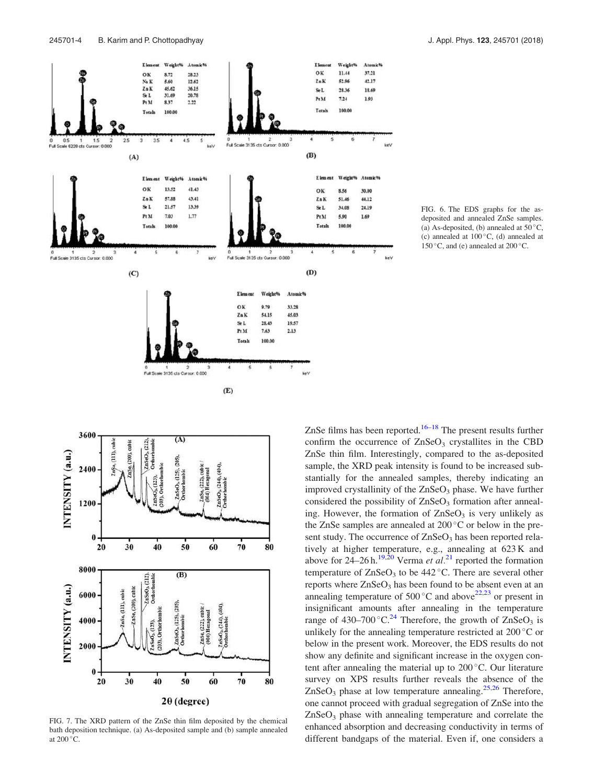

FIG. 6. The EDS graphs for the asdeposited and annealed ZnSe samples. (a) As-deposited, (b) annealed at  $50^{\circ}$ C, (c) annealed at  $100^{\circ}$ C, (d) annealed at 150 $\degree$ C, and (e) annealed at 200 $\degree$ C.



FIG. 7. The XRD pattern of the ZnSe thin film deposited by the chemical bath deposition technique. (a) As-deposited sample and (b) sample annealed at  $200^{\circ}$ C.

ZnSe films has been reported.<sup>16–18</sup> The present results further confirm the occurrence of  $ZnSeO<sub>3</sub>$  crystallites in the CBD ZnSe thin film. Interestingly, compared to the as-deposited sample, the XRD peak intensity is found to be increased substantially for the annealed samples, thereby indicating an improved crystallinity of the  $ZnSeO<sub>3</sub>$  phase. We have further considered the possibility of  $ZnSeO<sub>3</sub>$  formation after annealing. However, the formation of  $ZnSeO<sub>3</sub>$  is very unlikely as the ZnSe samples are annealed at  $200^{\circ}$ C or below in the present study. The occurrence of  $ZnSeO<sub>3</sub>$  has been reported relatively at higher temperature, e.g., annealing at 623 K and above for 24–26 h.<sup>19,20</sup> Verma *et al.*<sup>21</sup> reported the formation temperature of  $ZnSeO<sub>3</sub>$  to be 442 °C. There are several other reports where  $ZnSeO<sub>3</sub>$  has been found to be absent even at an annealing temperature of  $500^{\circ}$ C and above<sup>22,23</sup> or present in insignificant amounts after annealing in the temperature range of  $430-700$  °C.<sup>24</sup> Therefore, the growth of  $ZnSeO<sub>3</sub>$  is unlikely for the annealing temperature restricted at  $200^{\circ}$ C or below in the present work. Moreover, the EDS results do not show any definite and significant increase in the oxygen content after annealing the material up to  $200^{\circ}$ C. Our literature survey on XPS results further reveals the absence of the  $ZnSeO<sub>3</sub>$  phase at low temperature annealing.<sup>25,26</sup> Therefore, one cannot proceed with gradual segregation of ZnSe into the  $ZnSeO<sub>3</sub>$  phase with annealing temperature and correlate the enhanced absorption and decreasing conductivity in terms of different bandgaps of the material. Even if, one considers a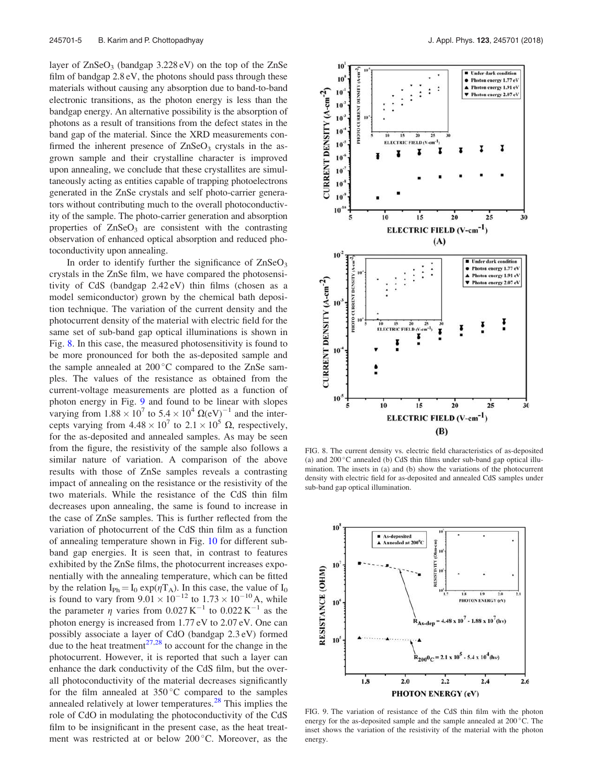layer of  $ZnSeO<sub>3</sub>$  (bandgap 3.228 eV) on the top of the  $ZnSe$ film of bandgap 2.8 eV, the photons should pass through these materials without causing any absorption due to band-to-band electronic transitions, as the photon energy is less than the bandgap energy. An alternative possibility is the absorption of photons as a result of transitions from the defect states in the band gap of the material. Since the XRD measurements confirmed the inherent presence of  $ZnSeO<sub>3</sub>$  crystals in the asgrown sample and their crystalline character is improved upon annealing, we conclude that these crystallites are simultaneously acting as entities capable of trapping photoelectrons generated in the ZnSe crystals and self photo-carrier generators without contributing much to the overall photoconductivity of the sample. The photo-carrier generation and absorption properties of  $ZnSeO<sub>3</sub>$  are consistent with the contrasting observation of enhanced optical absorption and reduced photoconductivity upon annealing.

In order to identify further the significance of  $ZnSeO<sub>3</sub>$ crystals in the ZnSe film, we have compared the photosensitivity of CdS (bandgap 2.42 eV) thin films (chosen as a model semiconductor) grown by the chemical bath deposition technique. The variation of the current density and the photocurrent density of the material with electric field for the same set of sub-band gap optical illuminations is shown in Fig. 8. In this case, the measured photosensitivity is found to be more pronounced for both the as-deposited sample and the sample annealed at  $200\degree C$  compared to the ZnSe samples. The values of the resistance as obtained from the current-voltage measurements are plotted as a function of photon energy in Fig. 9 and found to be linear with slopes varying from  $1.88 \times 10^7$  to  $5.4 \times 10^4$   $\Omega$ (eV)<sup>-1</sup> and the intercepts varying from  $4.48 \times 10^7$  to  $2.1 \times 10^5$   $\Omega$ , respectively, for the as-deposited and annealed samples. As may be seen from the figure, the resistivity of the sample also follows a similar nature of variation. A comparison of the above results with those of ZnSe samples reveals a contrasting impact of annealing on the resistance or the resistivity of the two materials. While the resistance of the CdS thin film decreases upon annealing, the same is found to increase in the case of ZnSe samples. This is further reflected from the variation of photocurrent of the CdS thin film as a function of annealing temperature shown in Fig. 10 for different subband gap energies. It is seen that, in contrast to features exhibited by the ZnSe films, the photocurrent increases exponentially with the annealing temperature, which can be fitted by the relation  $I_{Ph} = I_0 \exp(\eta T_A)$ . In this case, the value of  $I_0$ is found to vary from  $9.01 \times 10^{-12}$  to  $1.73 \times 10^{-10}$  A, while the parameter  $\eta$  varies from 0.027 K<sup>-1</sup> to 0.022 K<sup>-1</sup> as the photon energy is increased from 1.77 eV to 2.07 eV. One can possibly associate a layer of CdO (bandgap 2.3 eV) formed due to the heat treatment<sup>27,28</sup> to account for the change in the photocurrent. However, it is reported that such a layer can enhance the dark conductivity of the CdS film, but the overall photoconductivity of the material decreases significantly for the film annealed at  $350^{\circ}$ C compared to the samples annealed relatively at lower temperatures. $^{28}$  This implies the role of CdO in modulating the photoconductivity of the CdS film to be insignificant in the present case, as the heat treatment was restricted at or below 200 °C. Moreover, as the



FIG. 8. The current density vs. electric field characteristics of as-deposited (a) and  $200\,^{\circ}\text{C}$  annealed (b) CdS thin films under sub-band gap optical illumination. The insets in (a) and (b) show the variations of the photocurrent density with electric field for as-deposited and annealed CdS samples under sub-band gap optical illumination.



FIG. 9. The variation of resistance of the CdS thin film with the photon energy for the as-deposited sample and the sample annealed at 200 °C. The inset shows the variation of the resistivity of the material with the photon energy.